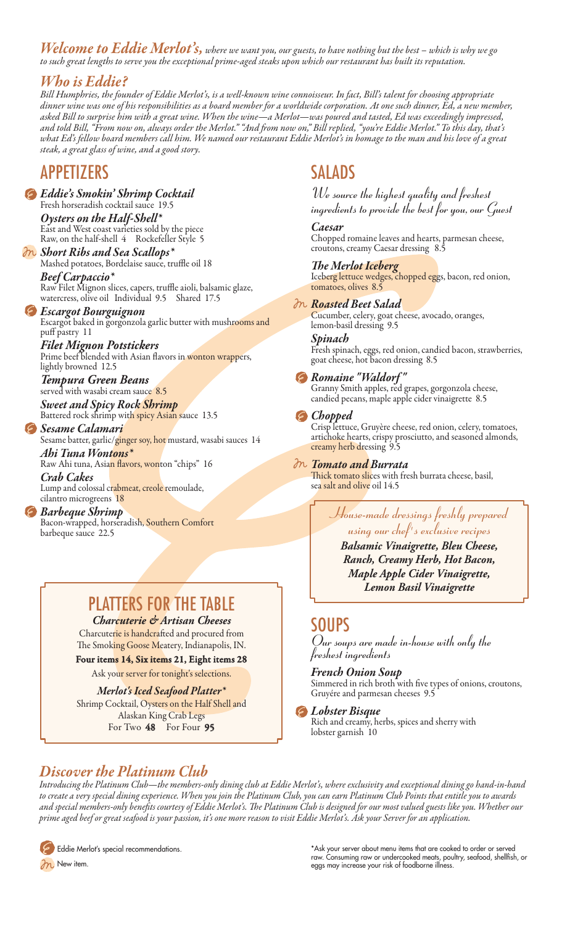*Welcome to Eddie Merlot's, where we want you, our guests, to have nothing but the best – which is why we go to such great lengths to serve you the exceptional prime-aged steaks upon which our restaurant has built its reputation.*

### *Who is Eddie?*

*Bill Humphries, the founder of Eddie Merlot's, is a well-known wine connoisseur. In fact, Bill's talent for choosing appropriate dinner wine was one of his responsibilities as a board member for a worldwide corporation. At one such dinner, Ed, a new member, asked Bill to surprise him with a great wine. When the wine—a Merlot—was poured and tasted, Ed was exceedingly impressed, and told Bill, "From now on, always order the Merlot." "And from now on," Bill replied, "you're Eddie Merlot." To this day, that's what Ed's fellow board members call him. We named our restaurant Eddie Merlot's in homage to the man and his love of a great steak, a great glass of wine, and a good story.*

## **APPETIZERS**

*Eddie's Smokin' Shrimp Cocktail* Fresh horseradish cocktail sauce 19.5 *Oysters on the Half-Shell\** East and West coast varieties sold by the piece Raw, on the half-shell 4 Rockefeller Style 5

*Short Ribs and Sea Scallops\** Mashed potatoes, Bordelaise sauce, truffle oil 18 *Beef Carpaccio\**

Raw Filet Mignon slices, capers, truffle aioli, balsamic glaze, watercress, olive oil Individual 9.5 Shared 17.5

#### *Escargot Bourguignon* Escargot baked in gorgonzola garlic butter with mushrooms and puff pastry 11

*Filet Mignon Potstickers* Prime beef blended with Asian flavors in wonton wrappers, lightly browned 12.5

*Tempura Green Beans* served with wasabi cream sauce 8.5

*Sweet and Spicy Rock Shrimp* Battered rock shrimp wit<mark>h spicy Asian s</mark>auce 13.5

*Sesame Calamari* Sesame batter, garlic/ginger soy, hot mustard, wasabi sauces 14

*Ahi Tuna Wontons\** Raw Ahi tuna, Asian flavors, wonton "chips" 16 *Crab Cakes*

Lump and colossal crabmeat, creole remoulade, cilantro microgreens 18

*Barbeque Shrimp* Bacon-wrapped, horseradish, Southern Comfort barbeque sauce 22.5

# PLATTERS FOR THE TABLE

*Charcuterie & Artisan Cheeses* Charcuterie is handcrafted and procured from The Smoking Goose Meatery, Indianapolis, IN.

Four items 14, Six items 21, Eight items 28

Ask your server for tonight's selections.

#### *Merlot's Iced Seafood Platter\**

Shrimp Cocktail, Oysters on the Half Shell and Alaskan King Crab Legs For Two 48 For Four 95

## SALADS

*We source the highest quality and freshest ingredients to provide the best for you, our Guest*

*Caesar* Chopped romaine leaves and hearts, parmesan cheese,

croutons, creamy Caesar dressing 8.5 *The Merlot Iceberg* Iceberg lettuce wedges, chopped eggs, bacon, red onion,

tomatoes, olives 8.5 *Roasted Beet Salad* Cucumber, celery, goat cheese, avocado, oranges,

lemon-basil dressing 9.5

*Spinach* 

Fresh spinach, eggs, red onion, candied bacon, strawberries, goat cheese, hot bacon dressing 8.5

### *Romaine "Waldorf "*

Granny Smith apples, red grapes, gorgonzola cheese, candied pecans, maple apple cider vinaigrette 8.5

#### *Chopped*

Crisp lettuce, Gruyère cheese, red onion, celery, tomatoes, artichoke hearts, crispy prosciutto, and seasoned almonds, creamy herb dressing 9.5

*Tomato and Burrata*

Thick tomato slices with fresh burrata cheese, basil, sea salt and olive oil 14.5

> *House-made dressings freshly prepared using our chef's exclusive recipes*

*Balsamic Vinaigrette, Bleu Cheese, Ranch, Creamy Herb, Hot Bacon, Maple Apple Cider Vinaigrette, Lemon Basil Vinaigrette*

## SOUPS

*Our soups are made in-house with only the freshest ingredients*

*French Onion Soup*

lobster garnish 10

Simmered in rich broth with five types of onions, croutons, Gruyére and parmesan cheeses 9.5

*Lobster Bisque* Rich and creamy, herbs, spices and sherry with

### *Discover the Platinum Club*

*Introducing the Platinum Club—the members-only dining club at Eddie Merlot's, where exclusivity and exceptional dining go hand-in-hand to create a very special dining experience. When you join the Platinum Club, you can earn Platinum Club Points that entitle you to awards and special members-only benefits courtesy of Eddie Merlot's. The Platinum Club is designed for our most valued guests like you. Whether our prime aged beef or great seafood is your passion, it's one more reason to visit Eddie Merlot's. Ask your Server for an application.*

Eddie Merlot's special recommendations.

 $\partial$ N New item.

\*Ask your server about menu items that are cooked to order or served raw. Consuming raw or undercooked meats, poultry, seafood, shellfish, or eggs may increase your risk of foodborne illness.